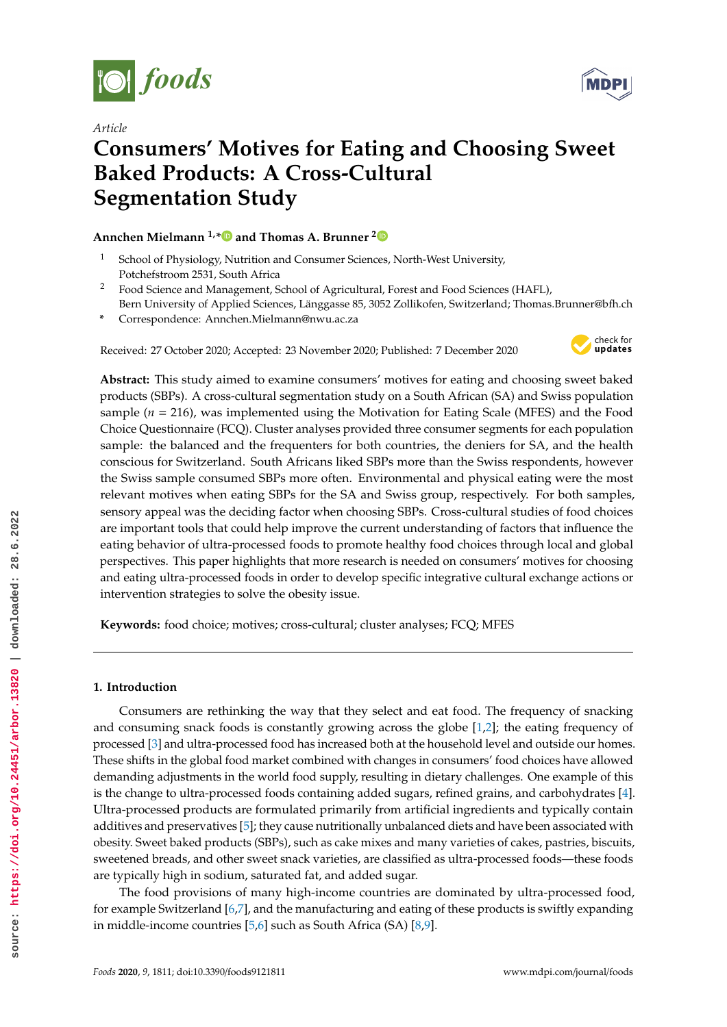



# **Consumers' Motives for Eating and Choosing Sweet Baked Products: A Cross-Cultural Segmentation Study**

# **Annchen Mielmann 1,[\\*](https://orcid.org/0000-0003-4276-4239) and Thomas A. Brunner [2](https://orcid.org/0000-0002-6770-6548)**

- <sup>1</sup> School of Physiology, Nutrition and Consumer Sciences, North-West University, Potchefstroom 2531, South Africa
- <sup>2</sup> Food Science and Management, School of Agricultural, Forest and Food Sciences (HAFL),
- Bern University of Applied Sciences, Länggasse 85, 3052 Zollikofen, Switzerland; Thomas.Brunner@bfh.ch **\*** Correspondence: Annchen.Mielmann@nwu.ac.za

Received: 27 October 2020; Accepted: 23 November 2020; Published: 7 December 2020



**Abstract:** This study aimed to examine consumers' motives for eating and choosing sweet baked products (SBPs). A cross-cultural segmentation study on a South African (SA) and Swiss population sample ( $n = 216$ ), was implemented using the Motivation for Eating Scale (MFES) and the Food Choice Questionnaire (FCQ). Cluster analyses provided three consumer segments for each population sample: the balanced and the frequenters for both countries, the deniers for SA, and the health conscious for Switzerland. South Africans liked SBPs more than the Swiss respondents, however the Swiss sample consumed SBPs more often. Environmental and physical eating were the most relevant motives when eating SBPs for the SA and Swiss group, respectively. For both samples, sensory appeal was the deciding factor when choosing SBPs. Cross-cultural studies of food choices are important tools that could help improve the current understanding of factors that influence the eating behavior of ultra-processed foods to promote healthy food choices through local and global perspectives. This paper highlights that more research is needed on consumers' motives for choosing and eating ultra-processed foods in order to develop specific integrative cultural exchange actions or intervention strategies to solve the obesity issue.

**Keywords:** food choice; motives; cross-cultural; cluster analyses; FCQ; MFES

# **1. Introduction**

Consumers are rethinking the way that they select and eat food. The frequency of snacking and consuming snack foods is constantly growing across the globe [1,2]; the eating frequency of processed [3] and ultra-processed food has increased both at the household level and outside our homes. These shifts in the global food market combined with changes in consumers' food choices have allowed demanding adjustments in the world food supply, resulting in dietary challenges. One example of this is the change to ultra-processed foods containing added sugars, refined grains, and carbohydrates [4]. Ultra-processed products are formulated primarily from artificial ingredients and typically contain additives and preservatives [5]; they cause nutritionally unbalanced diets and have been associated with obesity. Sweet baked products (SBPs), such as cake mixes and many varieties of cakes, pastries, biscuits, sweetened breads, and other sweet snack varieties, are classified as ultra-processed foods—these foods are typically high in sodium, saturated fat, and added sugar.

The food provisions of many high-income countries are dominated by ultra-processed food, for example Switzerland [6,7], and the manufacturing and eating of these products is swiftly expanding in middle-income countries [5,6] such as South Africa (SA) [8,9].

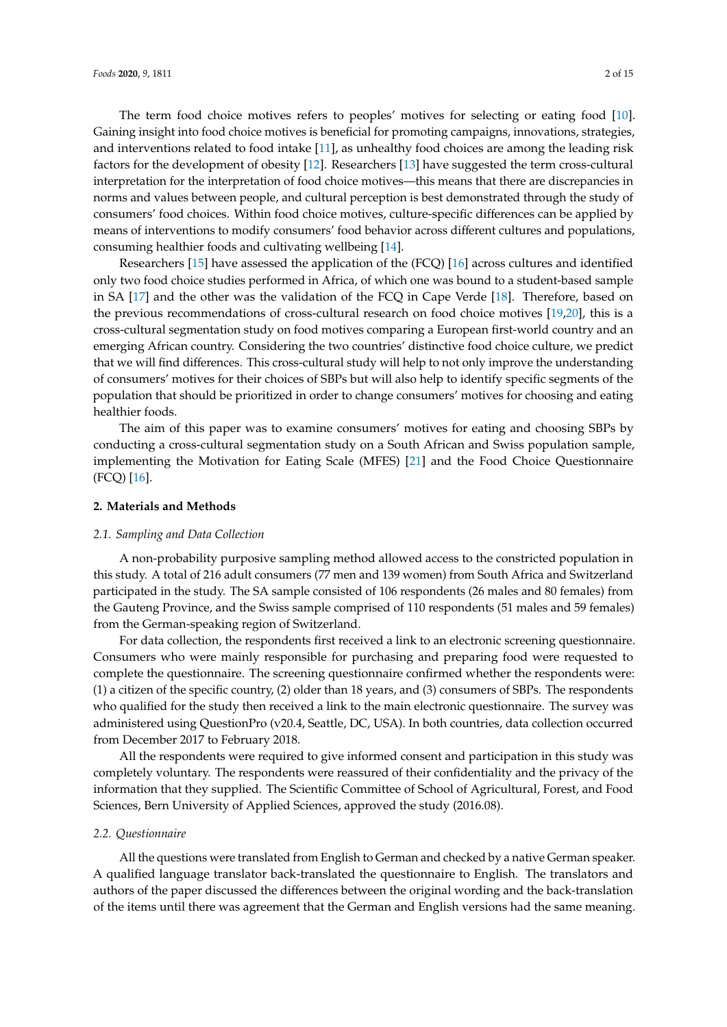The term food choice motives refers to peoples' motives for selecting or eating food [10]. Gaining insight into food choice motives is beneficial for promoting campaigns, innovations, strategies, and interventions related to food intake [11], as unhealthy food choices are among the leading risk factors for the development of obesity [12]. Researchers [13] have suggested the term cross-cultural interpretation for the interpretation of food choice motives—this means that there are discrepancies in norms and values between people, and cultural perception is best demonstrated through the study of consumers' food choices. Within food choice motives, culture-specific differences can be applied by means of interventions to modify consumers' food behavior across different cultures and populations, consuming healthier foods and cultivating wellbeing [14].

Researchers [15] have assessed the application of the (FCQ) [16] across cultures and identified only two food choice studies performed in Africa, of which one was bound to a student-based sample in SA [17] and the other was the validation of the FCQ in Cape Verde [18]. Therefore, based on the previous recommendations of cross-cultural research on food choice motives [19,20], this is a cross-cultural segmentation study on food motives comparing a European first-world country and an emerging African country. Considering the two countries' distinctive food choice culture, we predict that we will find differences. This cross-cultural study will help to not only improve the understanding of consumers' motives for their choices of SBPs but will also help to identify specific segments of the population that should be prioritized in order to change consumers' motives for choosing and eating healthier foods.

The aim of this paper was to examine consumers' motives for eating and choosing SBPs by conducting a cross-cultural segmentation study on a South African and Swiss population sample, implementing the Motivation for Eating Scale (MFES) [21] and the Food Choice Questionnaire (FCQ) [16].

#### **2. Materials and Methods**

#### *2.1. Sampling and Data Collection*

A non-probability purposive sampling method allowed access to the constricted population in this study. A total of 216 adult consumers (77 men and 139 women) from South Africa and Switzerland participated in the study. The SA sample consisted of 106 respondents (26 males and 80 females) from the Gauteng Province, and the Swiss sample comprised of 110 respondents (51 males and 59 females) from the German-speaking region of Switzerland.

For data collection, the respondents first received a link to an electronic screening questionnaire. Consumers who were mainly responsible for purchasing and preparing food were requested to complete the questionnaire. The screening questionnaire confirmed whether the respondents were: (1) a citizen of the specific country, (2) older than 18 years, and (3) consumers of SBPs. The respondents who qualified for the study then received a link to the main electronic questionnaire. The survey was administered using QuestionPro (v20.4, Seattle, DC, USA). In both countries, data collection occurred from December 2017 to February 2018.

All the respondents were required to give informed consent and participation in this study was completely voluntary. The respondents were reassured of their confidentiality and the privacy of the information that they supplied. The Scientific Committee of School of Agricultural, Forest, and Food Sciences, Bern University of Applied Sciences, approved the study (2016.08).

#### *2.2. Questionnaire*

All the questions were translated from English to German and checked by a native German speaker. A qualified language translator back-translated the questionnaire to English. The translators and authors of the paper discussed the differences between the original wording and the back-translation of the items until there was agreement that the German and English versions had the same meaning.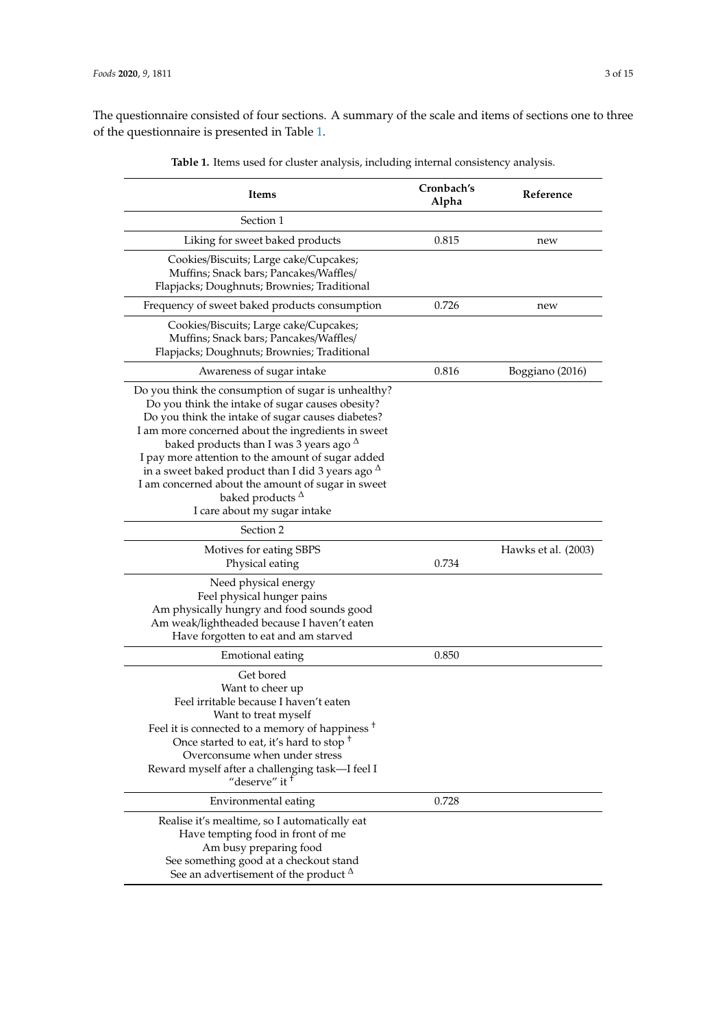The questionnaire consisted of four sections. A summary of the scale and items of sections one to three of the questionnaire is presented in Table 1.

| Items                                                                                                                                                                                                                                                                                                                                                                                                                                                                                                       | Cronbach's<br>Alpha | Reference           |
|-------------------------------------------------------------------------------------------------------------------------------------------------------------------------------------------------------------------------------------------------------------------------------------------------------------------------------------------------------------------------------------------------------------------------------------------------------------------------------------------------------------|---------------------|---------------------|
| Section 1                                                                                                                                                                                                                                                                                                                                                                                                                                                                                                   |                     |                     |
| Liking for sweet baked products                                                                                                                                                                                                                                                                                                                                                                                                                                                                             | 0.815               | new                 |
| Cookies/Biscuits; Large cake/Cupcakes;<br>Muffins; Snack bars; Pancakes/Waffles/<br>Flapjacks; Doughnuts; Brownies; Traditional                                                                                                                                                                                                                                                                                                                                                                             |                     |                     |
| Frequency of sweet baked products consumption                                                                                                                                                                                                                                                                                                                                                                                                                                                               | 0.726               | new                 |
| Cookies/Biscuits; Large cake/Cupcakes;<br>Muffins; Snack bars; Pancakes/Waffles/<br>Flapjacks; Doughnuts; Brownies; Traditional                                                                                                                                                                                                                                                                                                                                                                             |                     |                     |
| Awareness of sugar intake                                                                                                                                                                                                                                                                                                                                                                                                                                                                                   | 0.816               | Boggiano (2016)     |
| Do you think the consumption of sugar is unhealthy?<br>Do you think the intake of sugar causes obesity?<br>Do you think the intake of sugar causes diabetes?<br>I am more concerned about the ingredients in sweet<br>baked products than I was 3 years ago $^{\Delta}$<br>I pay more attention to the amount of sugar added<br>in a sweet baked product than I did 3 years ago $^{\Delta}$<br>I am concerned about the amount of sugar in sweet<br>baked products $\Delta$<br>I care about my sugar intake |                     |                     |
| Section 2                                                                                                                                                                                                                                                                                                                                                                                                                                                                                                   |                     |                     |
| Motives for eating SBPS<br>Physical eating                                                                                                                                                                                                                                                                                                                                                                                                                                                                  | 0.734               | Hawks et al. (2003) |
| Need physical energy<br>Feel physical hunger pains<br>Am physically hungry and food sounds good<br>Am weak/lightheaded because I haven't eaten<br>Have forgotten to eat and am starved                                                                                                                                                                                                                                                                                                                      |                     |                     |
| Emotional eating                                                                                                                                                                                                                                                                                                                                                                                                                                                                                            | 0.850               |                     |
| Get bored<br>Want to cheer up<br>Feel irritable because I haven't eaten<br>Want to treat myself<br>Feel it is connected to a memory of happiness <sup>+</sup><br>Once started to eat, it's hard to stop <sup>+</sup><br>Overconsume when under stress<br>Reward myself after a challenging task-I feel I<br>"deserve" it <sup>+</sup>                                                                                                                                                                       |                     |                     |
| Environmental eating                                                                                                                                                                                                                                                                                                                                                                                                                                                                                        | 0.728               |                     |
| Realise it's mealtime, so I automatically eat<br>Have tempting food in front of me<br>Am busy preparing food<br>See something good at a checkout stand<br>See an advertisement of the product $\Delta$                                                                                                                                                                                                                                                                                                      |                     |                     |

**Table 1.** Items used for cluster analysis, including internal consistency analysis.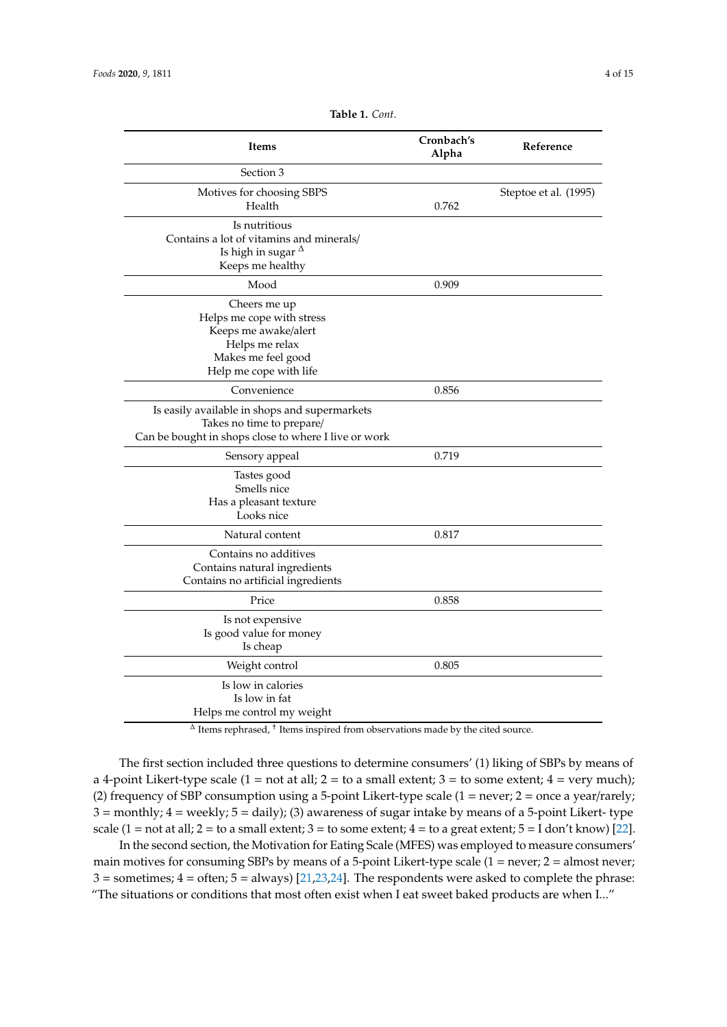| <b>Items</b>                                                                                                                        | Cronbach's<br>Alpha | Reference             |  |  |
|-------------------------------------------------------------------------------------------------------------------------------------|---------------------|-----------------------|--|--|
| Section 3                                                                                                                           |                     |                       |  |  |
| Motives for choosing SBPS<br>Health                                                                                                 | 0.762               | Steptoe et al. (1995) |  |  |
| Is nutritious<br>Contains a lot of vitamins and minerals/<br>Is high in sugar $^{\Delta}$<br>Keeps me healthy                       |                     |                       |  |  |
| Mood                                                                                                                                | 0.909               |                       |  |  |
| Cheers me up<br>Helps me cope with stress<br>Keeps me awake/alert<br>Helps me relax<br>Makes me feel good<br>Help me cope with life |                     |                       |  |  |
| Convenience                                                                                                                         | 0.856               |                       |  |  |
| Is easily available in shops and supermarkets<br>Takes no time to prepare/<br>Can be bought in shops close to where I live or work  |                     |                       |  |  |
| Sensory appeal                                                                                                                      | 0.719               |                       |  |  |
| Tastes good<br>Smells nice<br>Has a pleasant texture<br>Looks nice                                                                  |                     |                       |  |  |
| Natural content                                                                                                                     | 0.817               |                       |  |  |
| Contains no additives<br>Contains natural ingredients<br>Contains no artificial ingredients                                         |                     |                       |  |  |
| Price                                                                                                                               | 0.858               |                       |  |  |
| Is not expensive<br>Is good value for money<br>Is cheap                                                                             |                     |                       |  |  |
| Weight control                                                                                                                      | 0.805               |                       |  |  |
| Is low in calories<br>Is low in fat<br>Helps me control my weight                                                                   |                     |                       |  |  |

**Table 1.** *Cont.*

 $^{\Delta}$  Items rephrased,  $^{\dagger}$  Items inspired from observations made by the cited source.

The first section included three questions to determine consumers' (1) liking of SBPs by means of a 4-point Likert-type scale (1 = not at all; 2 = to a small extent; 3 = to some extent; 4 = very much); (2) frequency of SBP consumption using a 5-point Likert-type scale  $(1 = never; 2 = once a year/rarely;$  $3 =$  monthly;  $4 =$  weekly;  $5 =$  daily); (3) awareness of sugar intake by means of a 5-point Likert- type scale (1 = not at all; 2 = to a small extent; 3 = to some extent; 4 = to a great extent; 5 = I don't know) [22].

In the second section, the Motivation for Eating Scale (MFES) was employed to measure consumers' main motives for consuming SBPs by means of a 5-point Likert-type scale  $(1 = never, 2 = almost never, ...)$  $3 =$  sometimes;  $4 =$  often;  $5 =$  always) [21,23,24]. The respondents were asked to complete the phrase: "The situations or conditions that most often exist when I eat sweet baked products are when I..."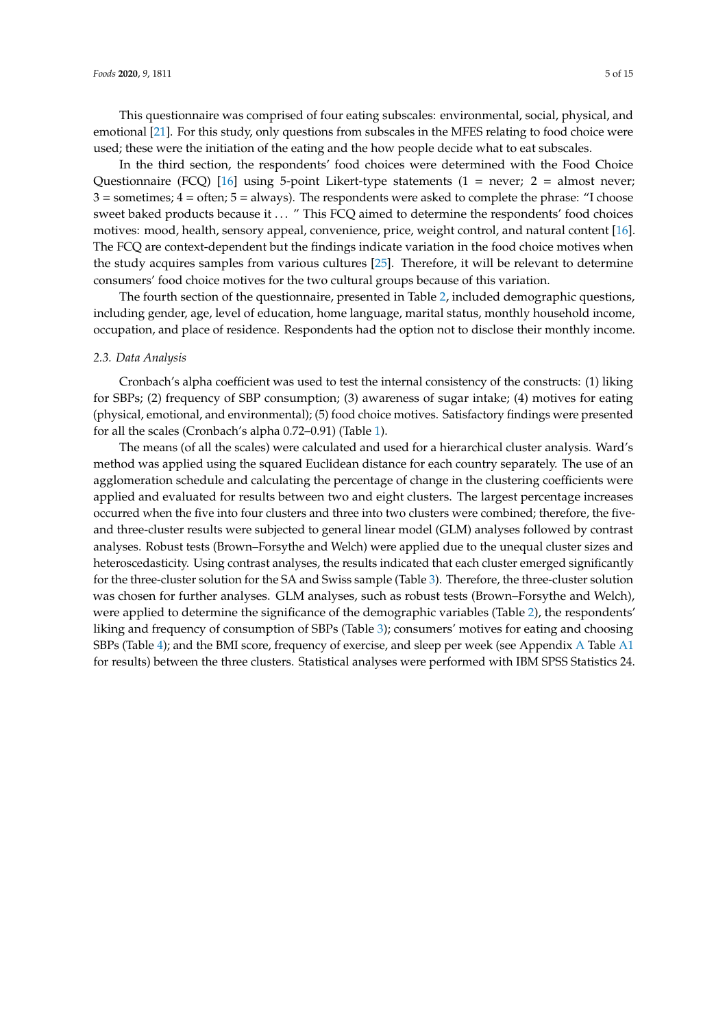This questionnaire was comprised of four eating subscales: environmental, social, physical, and emotional [21]. For this study, only questions from subscales in the MFES relating to food choice were used; these were the initiation of the eating and the how people decide what to eat subscales.

In the third section, the respondents' food choices were determined with the Food Choice Questionnaire (FCQ) [16] using 5-point Likert-type statements (1 = never; 2 = almost never; 3 = sometimes; 4 = often; 5 = always). The respondents were asked to complete the phrase: "I choose sweet baked products because it . . . " This FCQ aimed to determine the respondents' food choices motives: mood, health, sensory appeal, convenience, price, weight control, and natural content [16]. The FCQ are context-dependent but the findings indicate variation in the food choice motives when the study acquires samples from various cultures [25]. Therefore, it will be relevant to determine consumers' food choice motives for the two cultural groups because of this variation.

The fourth section of the questionnaire, presented in Table 2, included demographic questions, including gender, age, level of education, home language, marital status, monthly household income, occupation, and place of residence. Respondents had the option not to disclose their monthly income.

#### *2.3. Data Analysis*

Cronbach's alpha coefficient was used to test the internal consistency of the constructs: (1) liking for SBPs; (2) frequency of SBP consumption; (3) awareness of sugar intake; (4) motives for eating (physical, emotional, and environmental); (5) food choice motives. Satisfactory findings were presented for all the scales (Cronbach's alpha 0.72–0.91) (Table 1).

The means (of all the scales) were calculated and used for a hierarchical cluster analysis. Ward's method was applied using the squared Euclidean distance for each country separately. The use of an agglomeration schedule and calculating the percentage of change in the clustering coefficients were applied and evaluated for results between two and eight clusters. The largest percentage increases occurred when the five into four clusters and three into two clusters were combined; therefore, the fiveand three-cluster results were subjected to general linear model (GLM) analyses followed by contrast analyses. Robust tests (Brown–Forsythe and Welch) were applied due to the unequal cluster sizes and heteroscedasticity. Using contrast analyses, the results indicated that each cluster emerged significantly for the three-cluster solution for the SA and Swiss sample (Table 3). Therefore, the three-cluster solution was chosen for further analyses. GLM analyses, such as robust tests (Brown–Forsythe and Welch), were applied to determine the significance of the demographic variables (Table 2), the respondents' liking and frequency of consumption of SBPs (Table 3); consumers' motives for eating and choosing SBPs (Table 4); and the BMI score, frequency of exercise, and sleep per week (see Appendix A Table A1 for results) between the three clusters. Statistical analyses were performed with IBM SPSS Statistics 24.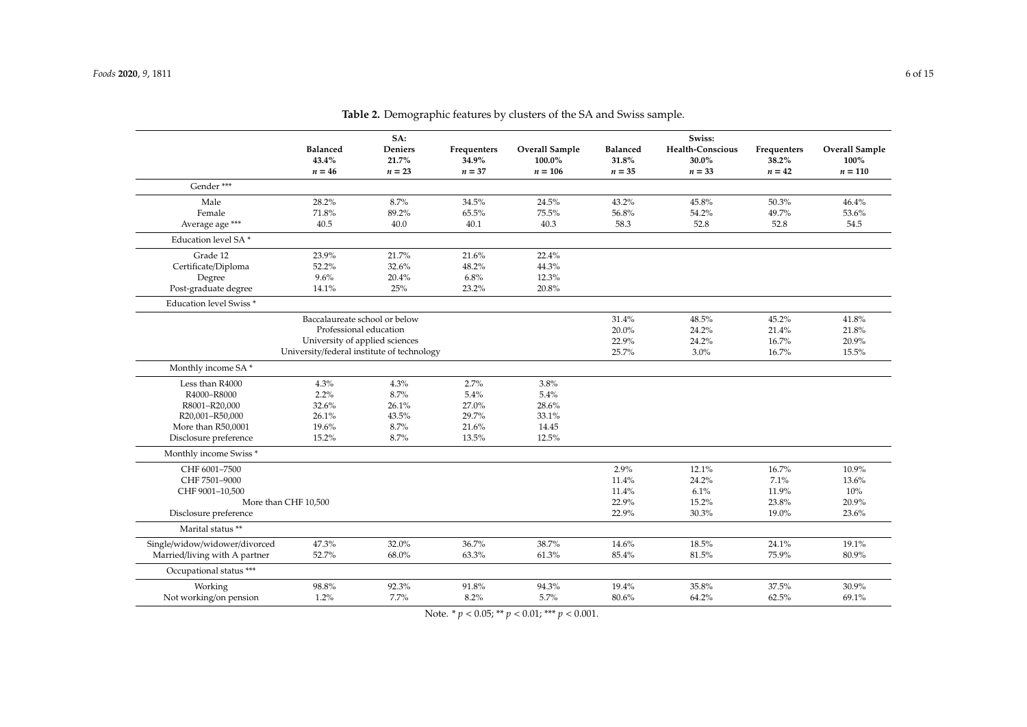|                                                                                                                                         | Balanced<br>43.4%<br>$n = 46$                    | SA:<br>Deniers<br>21.7%<br>$n = 23$            | Frequenters<br>34.9%<br>$n = 37$                 | Overall Sample<br>100.0%<br>$n=106$              | <b>Balanced</b><br>31.8%<br>$n = 35$     | Swiss:<br><b>Health-Conscious</b><br>30.0%<br>$n = 33$ | Frequenters<br>38.2%<br>$n = 42$         | <b>Overall Sample</b><br>100%<br>$n=110$   |
|-----------------------------------------------------------------------------------------------------------------------------------------|--------------------------------------------------|------------------------------------------------|--------------------------------------------------|--------------------------------------------------|------------------------------------------|--------------------------------------------------------|------------------------------------------|--------------------------------------------|
| Gender***                                                                                                                               |                                                  |                                                |                                                  |                                                  |                                          |                                                        |                                          |                                            |
| Male<br>Female<br>Average age ***                                                                                                       | 28.2%<br>71.8%<br>40.5                           | 8.7%<br>89.2%<br>40.0                          | 34.5%<br>65.5%<br>40.1                           | 24.5%<br>75.5%<br>40.3                           | 43.2%<br>56.8%<br>58.3                   | 45.8%<br>54.2%<br>52.8                                 | 50.3%<br>49.7%<br>52.8                   | 46.4%<br>53.6%<br>54.5                     |
| Education level SA <sup>*</sup>                                                                                                         |                                                  |                                                |                                                  |                                                  |                                          |                                                        |                                          |                                            |
| Grade 12<br>Certificate/Diploma<br>Degree<br>Post-graduate degree                                                                       | 23.9%<br>52.2%<br>9.6%<br>14.1%                  | 21.7%<br>32.6%<br>20.4%<br>25%                 | 21.6%<br>48.2%<br>6.8%<br>23.2%                  | 22.4%<br>44.3%<br>12.3%<br>20.8%                 |                                          |                                                        |                                          |                                            |
| Education level Swiss*                                                                                                                  |                                                  |                                                |                                                  |                                                  |                                          |                                                        |                                          |                                            |
| Baccalaureate school or below<br>Professional education<br>University of applied sciences<br>University/federal institute of technology |                                                  |                                                |                                                  |                                                  | 31.4%<br>$20.0\%$<br>22.9%<br>25.7%      | 48.5%<br>24.2%<br>24.2%<br>3.0%                        | 45.2%<br>21.4%<br>16.7%<br>16.7%         | 41.8%<br>21.8%<br>20.9%<br>15.5%           |
| Monthly income SA*                                                                                                                      |                                                  |                                                |                                                  |                                                  |                                          |                                                        |                                          |                                            |
| Less than R4000<br>R4000-R8000<br>R8001-R20,000<br>R20,001-R50,000<br>More than R50,0001<br>Disclosure preference                       | 4.3%<br>2.2%<br>32.6%<br>26.1%<br>19.6%<br>15.2% | 4.3%<br>8.7%<br>26.1%<br>43.5%<br>8.7%<br>8.7% | 2.7%<br>5.4%<br>27.0%<br>29.7%<br>21.6%<br>13.5% | 3.8%<br>5.4%<br>28.6%<br>33.1%<br>14.45<br>12.5% |                                          |                                                        |                                          |                                            |
| Monthly income Swiss*                                                                                                                   |                                                  |                                                |                                                  |                                                  |                                          |                                                        |                                          |                                            |
| CHF 6001-7500<br>CHF 7501-9000<br>CHF 9001-10,500<br>Disclosure preference                                                              | More than CHF 10,500                             |                                                |                                                  |                                                  | 2.9%<br>11.4%<br>11.4%<br>22.9%<br>22.9% | 12.1%<br>24.2%<br>6.1%<br>15.2%<br>30.3%               | 16.7%<br>7.1%<br>11.9%<br>23.8%<br>19.0% | 10.9%<br>13.6%<br>$10\%$<br>20.9%<br>23.6% |
| Marital status **                                                                                                                       |                                                  |                                                |                                                  |                                                  |                                          |                                                        |                                          |                                            |
| Single/widow/widower/divorced<br>Married/living with A partner<br>Occupational status ***                                               | 47.3%<br>52.7%                                   | 32.0%<br>68.0%                                 | 36.7%<br>63.3%                                   | 38.7%<br>61.3%                                   | 14.6%<br>85.4%                           | 18.5%<br>81.5%                                         | 24.1%<br>75.9%                           | 19.1%<br>80.9%                             |
|                                                                                                                                         |                                                  |                                                |                                                  |                                                  |                                          |                                                        |                                          |                                            |
| Working<br>Not working/on pension                                                                                                       | 98.8%<br>1.2%                                    | 92.3%<br>7.7%                                  | 91.8%<br>8.2%                                    | 94.3%<br>5.7%                                    | 19.4%<br>80.6%                           | 35.8%<br>64.2%                                         | 37.5%<br>62.5%                           | 30.9%<br>69.1%                             |

**Table 2.** Demographic features by clusters of the SA and Swiss sample.

Note.  $* p < 0.05; ** p < 0.01; ** p < 0.001.$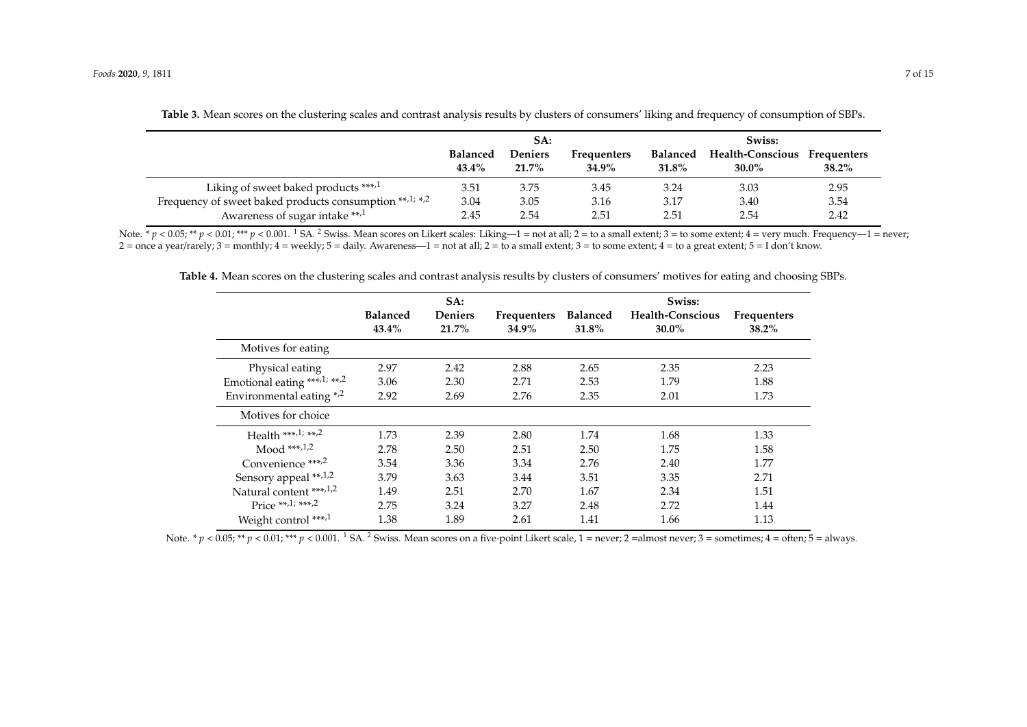|                                                           | SA:                      |                  |                             | Swiss:            |                                          |          |  |
|-----------------------------------------------------------|--------------------------|------------------|-----------------------------|-------------------|------------------------------------------|----------|--|
|                                                           | <b>Balanced</b><br>43.4% | Deniers<br>21.7% | <b>Frequenters</b><br>34.9% | Balanced<br>31.8% | Health-Conscious Frequenters<br>$30.0\%$ | $38.2\%$ |  |
|                                                           |                          |                  |                             |                   |                                          |          |  |
| Liking of sweet baked products ***,1                      | 3.51                     | 3.75             | 3.45                        | 3.24              | 3.03                                     | 2.95     |  |
| Frequency of sweet baked products consumption **, $1; *2$ | 3.04                     | 3.05             | 3.16                        | 3.17              | 3.40                                     | 3.54     |  |
| Awareness of sugar intake **,1                            | 2.45                     | 2.54             | 2.51                        | 2.51              | 2.54                                     | 2.42     |  |

**Table 3.** Mean scores on the clustering scales and contrast analysis results by clusters of consumers' liking and frequency of consumption of SBPs.

Note.  $*\bar{p}$  < 0.05; \*\*  $p$  < 0.01; \*\*\*  $p$  < 0.001. <sup>1</sup> SA. <sup>2</sup> Swiss. Mean scores on Likert scales: Liking—1 = not at all; 2 = to a small extent; 3 = to some extent; 4 = very much. Frequency—1 = never;  $2 =$  once a year/rarely;  $3 =$  monthly;  $4 =$  weekly;  $5 =$  daily. Awareness—1 = not at all;  $2 =$  to a small extent;  $3 =$  to some extent;  $4 =$  to a great extent;  $5 =$  I don't know.

**Table 4.** Mean scores on the clustering scales and contrast analysis results by clusters of consumers' motives for eating and choosing SBPs.

|                                         |                          | SA:                     |                      | Swiss:                   |                                  |                      |  |
|-----------------------------------------|--------------------------|-------------------------|----------------------|--------------------------|----------------------------------|----------------------|--|
|                                         | <b>Balanced</b><br>43.4% | <b>Deniers</b><br>21.7% | Frequenters<br>34.9% | <b>Balanced</b><br>31.8% | <b>Health-Conscious</b><br>30.0% | Frequenters<br>38.2% |  |
| Motives for eating                      |                          |                         |                      |                          |                                  |                      |  |
| Physical eating                         | 2.97                     | 2.42                    | 2.88                 | 2.65                     | 2.35                             | 2.23                 |  |
| Emotional eating ***,1; **,2            | 3.06                     | 2.30                    | 2.71                 | 2.53                     | 1.79                             | 1.88                 |  |
| Environmental eating $*$ , <sup>2</sup> | 2.92                     | 2.69                    | 2.76                 | 2.35                     | 2.01                             | 1.73                 |  |
| Motives for choice                      |                          |                         |                      |                          |                                  |                      |  |
| Health ***,1; **,2                      | 1.73                     | 2.39                    | 2.80                 | 1.74                     | 1.68                             | 1.33                 |  |
| Mood ***, $1,2$                         | 2.78                     | 2.50                    | 2.51                 | 2.50                     | 1.75                             | 1.58                 |  |
| Convenience ***,2                       | 3.54                     | 3.36                    | 3.34                 | 2.76                     | 2.40                             | 1.77                 |  |
| Sensory appeal **,1,2                   | 3.79                     | 3.63                    | 3.44                 | 3.51                     | 3.35                             | 2.71                 |  |
| Natural content ***,1,2                 | 1.49                     | 2.51                    | 2.70                 | 1.67                     | 2.34                             | 1.51                 |  |
| Price **,1; ***,2                       | 2.75                     | 3.24                    | 3.27                 | 2.48                     | 2.72                             | 1.44                 |  |
| Weight control ***,1                    | 1.38                     | 1.89                    | 2.61                 | 1.41                     | 1.66                             | 1.13                 |  |

Note.  $* p < 0.05$ ;  $** p < 0.01$ ;  $*** p < 0.001$ . <sup>1</sup> SA. <sup>2</sup> Swiss. Mean scores on a five-point Likert scale, 1 = never; 2 = almost never; 3 = sometimes; 4 = often; 5 = always.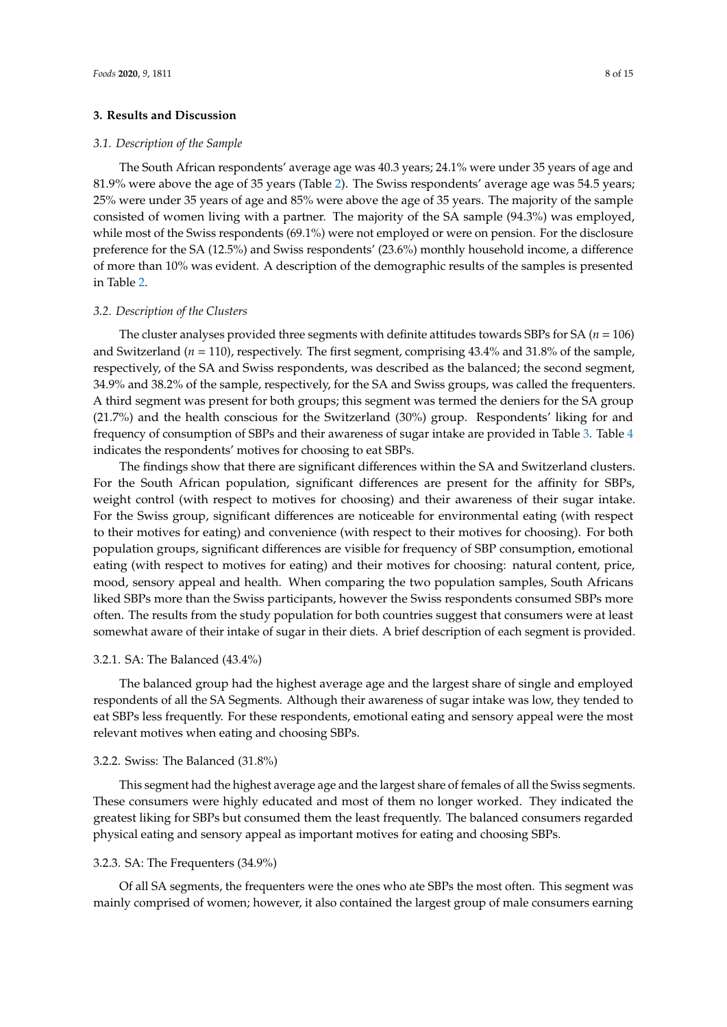### **3. Results and Discussion**

#### *3.1. Description of the Sample*

The South African respondents' average age was 40.3 years; 24.1% were under 35 years of age and 81.9% were above the age of 35 years (Table 2). The Swiss respondents' average age was 54.5 years; 25% were under 35 years of age and 85% were above the age of 35 years. The majority of the sample consisted of women living with a partner. The majority of the SA sample (94.3%) was employed, while most of the Swiss respondents (69.1%) were not employed or were on pension. For the disclosure preference for the SA (12.5%) and Swiss respondents' (23.6%) monthly household income, a difference of more than 10% was evident. A description of the demographic results of the samples is presented in Table 2.

#### *3.2. Description of the Clusters*

The cluster analyses provided three segments with definite attitudes towards SBPs for SA (*n* = 106) and Switzerland (*n* = 110), respectively. The first segment, comprising 43.4% and 31.8% of the sample, respectively, of the SA and Swiss respondents, was described as the balanced; the second segment, 34.9% and 38.2% of the sample, respectively, for the SA and Swiss groups, was called the frequenters. A third segment was present for both groups; this segment was termed the deniers for the SA group (21.7%) and the health conscious for the Switzerland (30%) group. Respondents' liking for and frequency of consumption of SBPs and their awareness of sugar intake are provided in Table 3. Table 4 indicates the respondents' motives for choosing to eat SBPs.

The findings show that there are significant differences within the SA and Switzerland clusters. For the South African population, significant differences are present for the affinity for SBPs, weight control (with respect to motives for choosing) and their awareness of their sugar intake. For the Swiss group, significant differences are noticeable for environmental eating (with respect to their motives for eating) and convenience (with respect to their motives for choosing). For both population groups, significant differences are visible for frequency of SBP consumption, emotional eating (with respect to motives for eating) and their motives for choosing: natural content, price, mood, sensory appeal and health. When comparing the two population samples, South Africans liked SBPs more than the Swiss participants, however the Swiss respondents consumed SBPs more often. The results from the study population for both countries suggest that consumers were at least somewhat aware of their intake of sugar in their diets. A brief description of each segment is provided.

## 3.2.1. SA: The Balanced (43.4%)

The balanced group had the highest average age and the largest share of single and employed respondents of all the SA Segments. Although their awareness of sugar intake was low, they tended to eat SBPs less frequently. For these respondents, emotional eating and sensory appeal were the most relevant motives when eating and choosing SBPs.

#### 3.2.2. Swiss: The Balanced (31.8%)

This segment had the highest average age and the largest share of females of all the Swiss segments. These consumers were highly educated and most of them no longer worked. They indicated the greatest liking for SBPs but consumed them the least frequently. The balanced consumers regarded physical eating and sensory appeal as important motives for eating and choosing SBPs.

#### 3.2.3. SA: The Frequenters (34.9%)

Of all SA segments, the frequenters were the ones who ate SBPs the most often. This segment was mainly comprised of women; however, it also contained the largest group of male consumers earning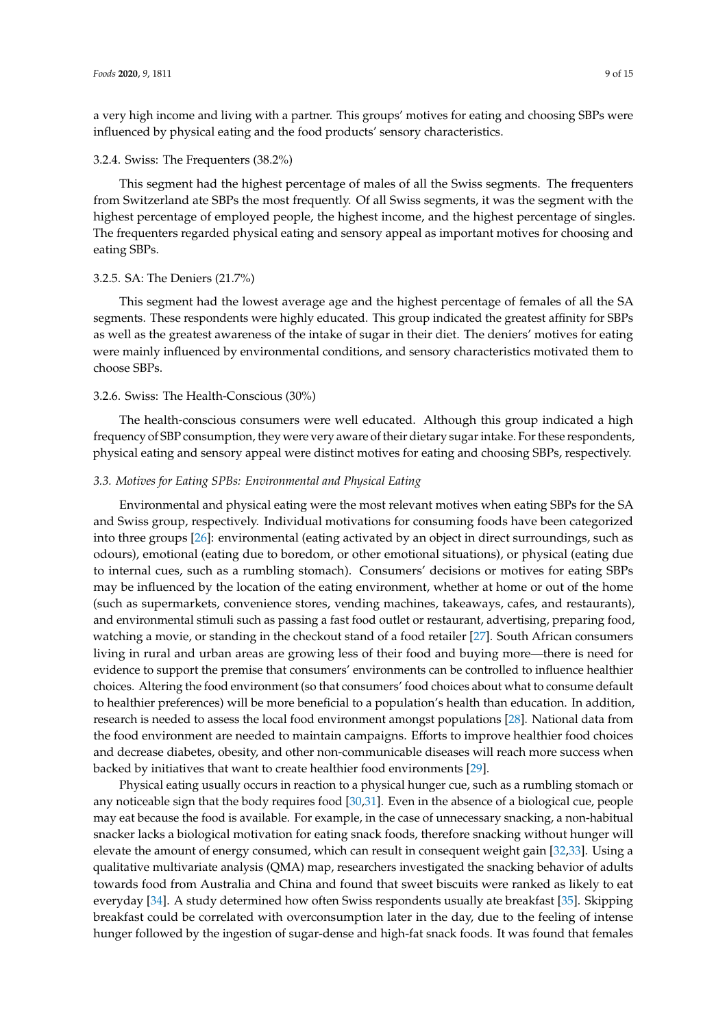a very high income and living with a partner. This groups' motives for eating and choosing SBPs were influenced by physical eating and the food products' sensory characteristics.

#### 3.2.4. Swiss: The Frequenters (38.2%)

This segment had the highest percentage of males of all the Swiss segments. The frequenters from Switzerland ate SBPs the most frequently. Of all Swiss segments, it was the segment with the highest percentage of employed people, the highest income, and the highest percentage of singles. The frequenters regarded physical eating and sensory appeal as important motives for choosing and eating SBPs.

#### 3.2.5. SA: The Deniers (21.7%)

This segment had the lowest average age and the highest percentage of females of all the SA segments. These respondents were highly educated. This group indicated the greatest affinity for SBPs as well as the greatest awareness of the intake of sugar in their diet. The deniers' motives for eating were mainly influenced by environmental conditions, and sensory characteristics motivated them to choose SBPs.

### 3.2.6. Swiss: The Health-Conscious (30%)

The health-conscious consumers were well educated. Although this group indicated a high frequency of SBP consumption, they were very aware of their dietary sugar intake. For these respondents, physical eating and sensory appeal were distinct motives for eating and choosing SBPs, respectively.

#### *3.3. Motives for Eating SPBs: Environmental and Physical Eating*

Environmental and physical eating were the most relevant motives when eating SBPs for the SA and Swiss group, respectively. Individual motivations for consuming foods have been categorized into three groups [26]: environmental (eating activated by an object in direct surroundings, such as odours), emotional (eating due to boredom, or other emotional situations), or physical (eating due to internal cues, such as a rumbling stomach). Consumers' decisions or motives for eating SBPs may be influenced by the location of the eating environment, whether at home or out of the home (such as supermarkets, convenience stores, vending machines, takeaways, cafes, and restaurants), and environmental stimuli such as passing a fast food outlet or restaurant, advertising, preparing food, watching a movie, or standing in the checkout stand of a food retailer [27]. South African consumers living in rural and urban areas are growing less of their food and buying more—there is need for evidence to support the premise that consumers' environments can be controlled to influence healthier choices. Altering the food environment (so that consumers' food choices about what to consume default to healthier preferences) will be more beneficial to a population's health than education. In addition, research is needed to assess the local food environment amongst populations [28]. National data from the food environment are needed to maintain campaigns. Efforts to improve healthier food choices and decrease diabetes, obesity, and other non-communicable diseases will reach more success when backed by initiatives that want to create healthier food environments [29].

Physical eating usually occurs in reaction to a physical hunger cue, such as a rumbling stomach or any noticeable sign that the body requires food [30,31]. Even in the absence of a biological cue, people may eat because the food is available. For example, in the case of unnecessary snacking, a non-habitual snacker lacks a biological motivation for eating snack foods, therefore snacking without hunger will elevate the amount of energy consumed, which can result in consequent weight gain [32,33]. Using a qualitative multivariate analysis (QMA) map, researchers investigated the snacking behavior of adults towards food from Australia and China and found that sweet biscuits were ranked as likely to eat everyday [34]. A study determined how often Swiss respondents usually ate breakfast [35]. Skipping breakfast could be correlated with overconsumption later in the day, due to the feeling of intense hunger followed by the ingestion of sugar-dense and high-fat snack foods. It was found that females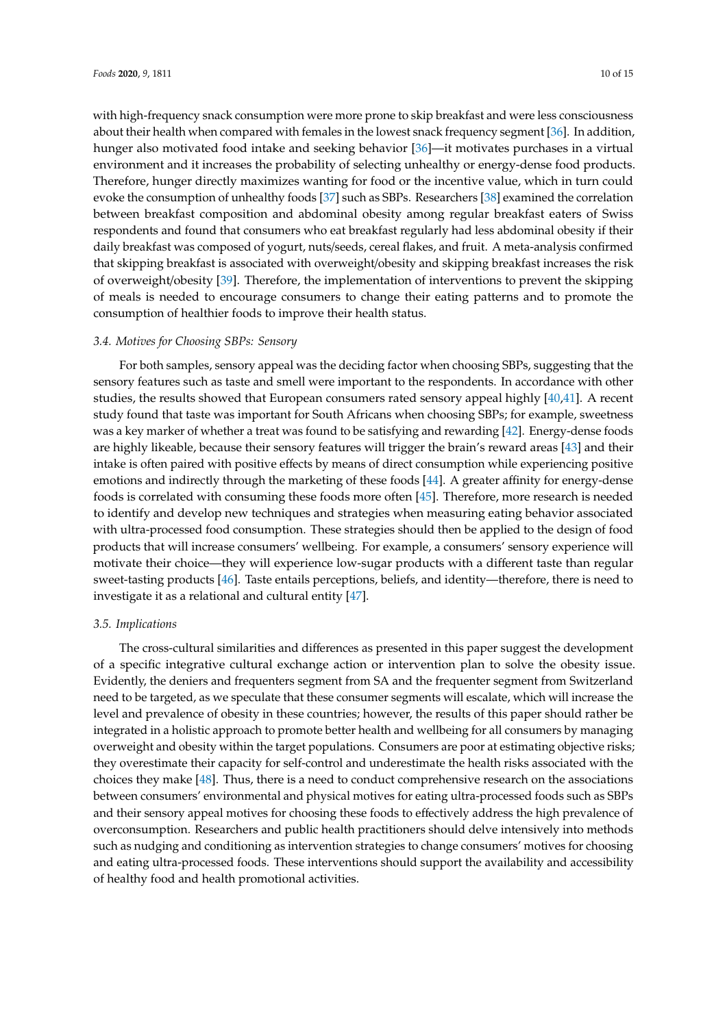with high-frequency snack consumption were more prone to skip breakfast and were less consciousness about their health when compared with females in the lowest snack frequency segment [36]. In addition, hunger also motivated food intake and seeking behavior [36]—it motivates purchases in a virtual environment and it increases the probability of selecting unhealthy or energy-dense food products. Therefore, hunger directly maximizes wanting for food or the incentive value, which in turn could evoke the consumption of unhealthy foods [37] such as SBPs. Researchers [38] examined the correlation between breakfast composition and abdominal obesity among regular breakfast eaters of Swiss respondents and found that consumers who eat breakfast regularly had less abdominal obesity if their daily breakfast was composed of yogurt, nuts/seeds, cereal flakes, and fruit. A meta-analysis confirmed that skipping breakfast is associated with overweight/obesity and skipping breakfast increases the risk of overweight/obesity [39]. Therefore, the implementation of interventions to prevent the skipping of meals is needed to encourage consumers to change their eating patterns and to promote the consumption of healthier foods to improve their health status.

#### *3.4. Motives for Choosing SBPs: Sensory*

For both samples, sensory appeal was the deciding factor when choosing SBPs, suggesting that the sensory features such as taste and smell were important to the respondents. In accordance with other studies, the results showed that European consumers rated sensory appeal highly [40,41]. A recent study found that taste was important for South Africans when choosing SBPs; for example, sweetness was a key marker of whether a treat was found to be satisfying and rewarding [42]. Energy-dense foods are highly likeable, because their sensory features will trigger the brain's reward areas [43] and their intake is often paired with positive effects by means of direct consumption while experiencing positive emotions and indirectly through the marketing of these foods [44]. A greater affinity for energy-dense foods is correlated with consuming these foods more often [45]. Therefore, more research is needed to identify and develop new techniques and strategies when measuring eating behavior associated with ultra-processed food consumption. These strategies should then be applied to the design of food products that will increase consumers' wellbeing. For example, a consumers' sensory experience will motivate their choice—they will experience low-sugar products with a different taste than regular sweet-tasting products [46]. Taste entails perceptions, beliefs, and identity—therefore, there is need to investigate it as a relational and cultural entity [47].

#### *3.5. Implications*

The cross-cultural similarities and differences as presented in this paper suggest the development of a specific integrative cultural exchange action or intervention plan to solve the obesity issue. Evidently, the deniers and frequenters segment from SA and the frequenter segment from Switzerland need to be targeted, as we speculate that these consumer segments will escalate, which will increase the level and prevalence of obesity in these countries; however, the results of this paper should rather be integrated in a holistic approach to promote better health and wellbeing for all consumers by managing overweight and obesity within the target populations. Consumers are poor at estimating objective risks; they overestimate their capacity for self-control and underestimate the health risks associated with the choices they make [48]. Thus, there is a need to conduct comprehensive research on the associations between consumers' environmental and physical motives for eating ultra-processed foods such as SBPs and their sensory appeal motives for choosing these foods to effectively address the high prevalence of overconsumption. Researchers and public health practitioners should delve intensively into methods such as nudging and conditioning as intervention strategies to change consumers' motives for choosing and eating ultra-processed foods. These interventions should support the availability and accessibility of healthy food and health promotional activities.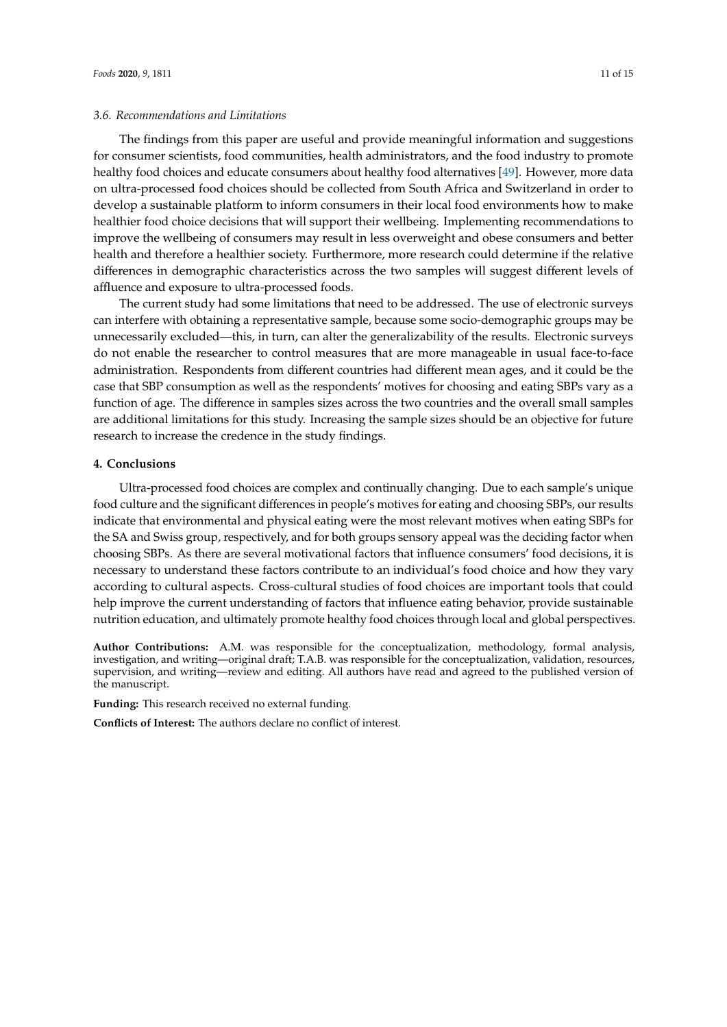### *3.6. Recommendations and Limitations*

The findings from this paper are useful and provide meaningful information and suggestions for consumer scientists, food communities, health administrators, and the food industry to promote healthy food choices and educate consumers about healthy food alternatives [49]. However, more data on ultra-processed food choices should be collected from South Africa and Switzerland in order to develop a sustainable platform to inform consumers in their local food environments how to make healthier food choice decisions that will support their wellbeing. Implementing recommendations to improve the wellbeing of consumers may result in less overweight and obese consumers and better health and therefore a healthier society. Furthermore, more research could determine if the relative differences in demographic characteristics across the two samples will suggest different levels of affluence and exposure to ultra-processed foods.

The current study had some limitations that need to be addressed. The use of electronic surveys can interfere with obtaining a representative sample, because some socio-demographic groups may be unnecessarily excluded—this, in turn, can alter the generalizability of the results. Electronic surveys do not enable the researcher to control measures that are more manageable in usual face-to-face administration. Respondents from different countries had different mean ages, and it could be the case that SBP consumption as well as the respondents' motives for choosing and eating SBPs vary as a function of age. The difference in samples sizes across the two countries and the overall small samples are additional limitations for this study. Increasing the sample sizes should be an objective for future research to increase the credence in the study findings.

#### **4. Conclusions**

Ultra-processed food choices are complex and continually changing. Due to each sample's unique food culture and the significant differences in people's motives for eating and choosing SBPs, our results indicate that environmental and physical eating were the most relevant motives when eating SBPs for the SA and Swiss group, respectively, and for both groups sensory appeal was the deciding factor when choosing SBPs. As there are several motivational factors that influence consumers' food decisions, it is necessary to understand these factors contribute to an individual's food choice and how they vary according to cultural aspects. Cross-cultural studies of food choices are important tools that could help improve the current understanding of factors that influence eating behavior, provide sustainable nutrition education, and ultimately promote healthy food choices through local and global perspectives.

**Author Contributions:** A.M. was responsible for the conceptualization, methodology, formal analysis, investigation, and writing—original draft; T.A.B. was responsible for the conceptualization, validation, resources, supervision, and writing—review and editing. All authors have read and agreed to the published version of the manuscript.

**Funding:** This research received no external funding.

**Conflicts of Interest:** The authors declare no conflict of interest.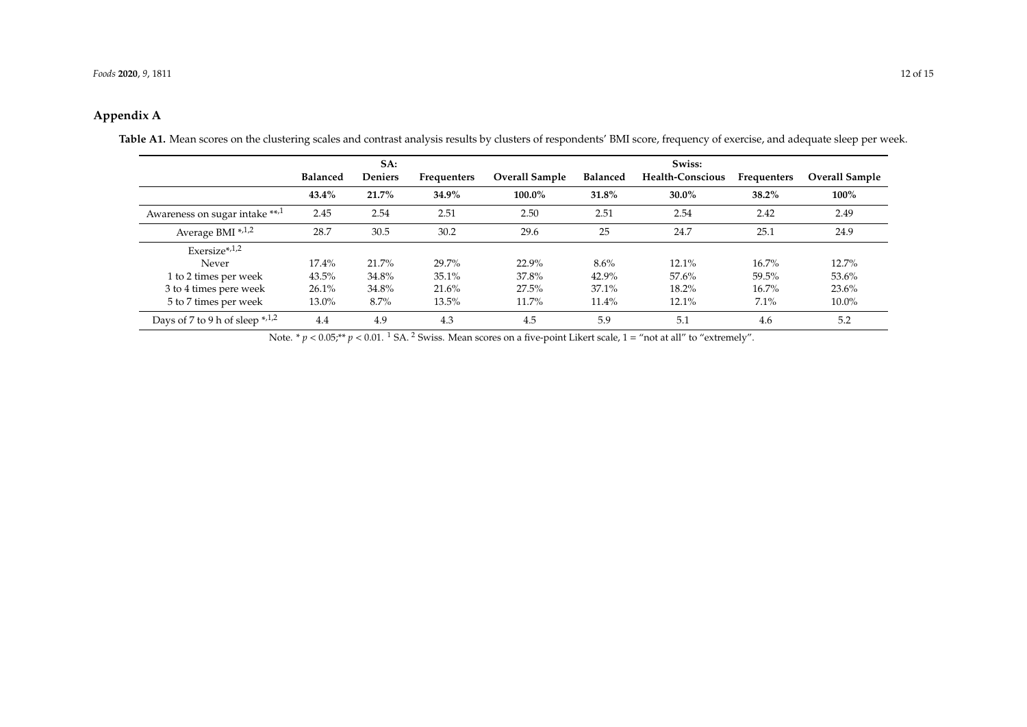#### *Foods* **2020**, *9*, 1811 12 of 15

# **Appendix A**

Table A1. Mean scores on the clustering scales and contrast analysis results by clusters of respondents' BMI score, frequency of exercise, and adequate sleep per week.

|                                  |                 | SA:            |                    |                |                 | Swiss:                  |             |                |
|----------------------------------|-----------------|----------------|--------------------|----------------|-----------------|-------------------------|-------------|----------------|
|                                  | <b>Balanced</b> | <b>Deniers</b> | <b>Frequenters</b> | Overall Sample | <b>Balanced</b> | <b>Health-Conscious</b> | Frequenters | Overall Sample |
|                                  | 43.4%           | 21.7%          | 34.9%              | 100.0%         | 31.8%           | $30.0\%$                | 38.2%       | 100%           |
| Awareness on sugar intake **,1   | 2.45            | 2.54           | 2.51               | 2.50           | 2.51            | 2.54                    | 2.42        | 2.49           |
| Average BMI $^{*,1,2}$           | 28.7            | 30.5           | 30.2               | 29.6           | 25              | 24.7                    | 25.1        | 24.9           |
| Exersize*,1,2                    |                 |                |                    |                |                 |                         |             |                |
| Never                            | 17.4%           | 21.7%          | 29.7%              | 22.9%          | $8.6\%$         | 12.1%                   | 16.7%       | 12.7%          |
| 1 to 2 times per week            | 43.5%           | 34.8%          | 35.1%              | 37.8%          | 42.9%           | 57.6%                   | 59.5%       | 53.6%          |
| 3 to 4 times pere week           | 26.1%           | 34.8%          | 21.6%              | 27.5%          | 37.1%           | 18.2%                   | 16.7%       | 23.6%          |
| 5 to 7 times per week            | 13.0%           | 8.7%           | 13.5%              | 11.7%          | $11.4\%$        | 12.1%                   | 7.1%        | $10.0\%$       |
| Days of 7 to 9 h of sleep $*1,2$ | 4.4             | 4.9            | 4.3                | 4.5            | 5.9             | 5.1                     | 4.6         | 5.2            |

Note.  $* p < 0.05; ** p < 0.01$ . <sup>1</sup> SA. <sup>2</sup> Swiss. Mean scores on a five-point Likert scale, 1 = "not at all" to "extremely".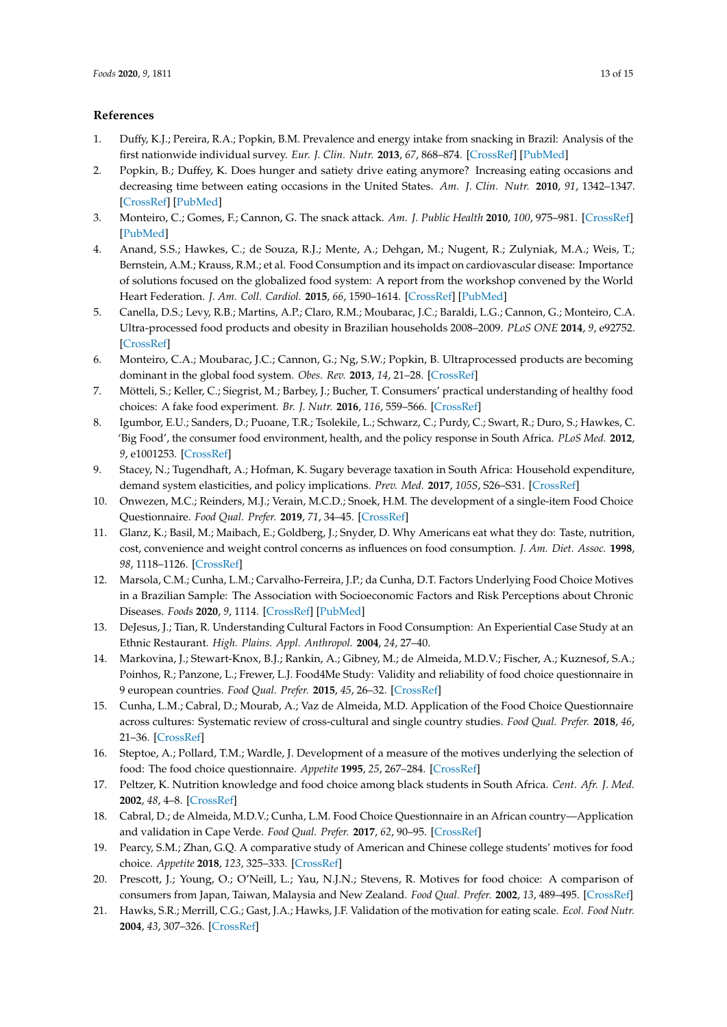## **References**

- 1. Duffy, K.J.; Pereira, R.A.; Popkin, B.M. Prevalence and energy intake from snacking in Brazil: Analysis of the first nationwide individual survey. *Eur. J. Clin. Nutr.* **2013**, *67*, 868–874. [\[CrossRef\]](http://dx.doi.org/10.1038/ejcn.2013.60) [\[PubMed\]](http://www.ncbi.nlm.nih.gov/pubmed/23486510)
- 2. Popkin, B.; Duffey, K. Does hunger and satiety drive eating anymore? Increasing eating occasions and decreasing time between eating occasions in the United States. *Am. J. Clin. Nutr.* **2010**, *91*, 1342–1347. [\[CrossRef\]](http://dx.doi.org/10.3945/ajcn.2009.28962) [\[PubMed\]](http://www.ncbi.nlm.nih.gov/pubmed/20237134)
- 3. Monteiro, C.; Gomes, F.; Cannon, G. The snack attack. *Am. J. Public Health* **2010**, *100*, 975–981. [\[CrossRef\]](http://dx.doi.org/10.2105/AJPH.2009.187666) [\[PubMed\]](http://www.ncbi.nlm.nih.gov/pubmed/20395566)
- 4. Anand, S.S.; Hawkes, C.; de Souza, R.J.; Mente, A.; Dehgan, M.; Nugent, R.; Zulyniak, M.A.; Weis, T.; Bernstein, A.M.; Krauss, R.M.; et al. Food Consumption and its impact on cardiovascular disease: Importance of solutions focused on the globalized food system: A report from the workshop convened by the World Heart Federation. *J. Am. Coll. Cardiol.* **2015**, *66*, 1590–1614. [\[CrossRef\]](http://dx.doi.org/10.1016/j.jacc.2015.07.050) [\[PubMed\]](http://www.ncbi.nlm.nih.gov/pubmed/26429085)
- 5. Canella, D.S.; Levy, R.B.; Martins, A.P.; Claro, R.M.; Moubarac, J.C.; Baraldi, L.G.; Cannon, G.; Monteiro, C.A. Ultra-processed food products and obesity in Brazilian households 2008–2009. *PLoS ONE* **2014**, *9*, e92752. [\[CrossRef\]](http://dx.doi.org/10.1371/journal.pone.0092752)
- 6. Monteiro, C.A.; Moubarac, J.C.; Cannon, G.; Ng, S.W.; Popkin, B. Ultraprocessed products are becoming dominant in the global food system. *Obes. Rev.* **2013**, *14*, 21–28. [\[CrossRef\]](http://dx.doi.org/10.1111/obr.12107)
- 7. Mötteli, S.; Keller, C.; Siegrist, M.; Barbey, J.; Bucher, T. Consumers' practical understanding of healthy food choices: A fake food experiment. *Br. J. Nutr.* **2016**, *116*, 559–566. [\[CrossRef\]](http://dx.doi.org/10.1017/S0007114516002130)
- 8. Igumbor, E.U.; Sanders, D.; Puoane, T.R.; Tsolekile, L.; Schwarz, C.; Purdy, C.; Swart, R.; Duro, S.; Hawkes, C. 'Big Food', the consumer food environment, health, and the policy response in South Africa. *PLoS Med.* **2012**, *9*, e1001253. [\[CrossRef\]](http://dx.doi.org/10.1371/journal.pmed.1001253)
- 9. Stacey, N.; Tugendhaft, A.; Hofman, K. Sugary beverage taxation in South Africa: Household expenditure, demand system elasticities, and policy implications. *Prev. Med.* **2017**, *105S*, S26–S31. [\[CrossRef\]](http://dx.doi.org/10.1016/j.ypmed.2017.05.026)
- 10. Onwezen, M.C.; Reinders, M.J.; Verain, M.C.D.; Snoek, H.M. The development of a single-item Food Choice Questionnaire. *Food Qual. Prefer.* **2019**, *71*, 34–45. [\[CrossRef\]](http://dx.doi.org/10.1016/j.foodqual.2018.05.005)
- 11. Glanz, K.; Basil, M.; Maibach, E.; Goldberg, J.; Snyder, D. Why Americans eat what they do: Taste, nutrition, cost, convenience and weight control concerns as influences on food consumption. *J. Am. Diet. Assoc.* **1998**, *98*, 1118–1126. [\[CrossRef\]](http://dx.doi.org/10.1016/S0002-8223(98)00260-0)
- 12. Marsola, C.M.; Cunha, L.M.; Carvalho-Ferreira, J.P.; da Cunha, D.T. Factors Underlying Food Choice Motives in a Brazilian Sample: The Association with Socioeconomic Factors and Risk Perceptions about Chronic Diseases. *Foods* **2020**, *9*, 1114. [\[CrossRef\]](http://dx.doi.org/10.3390/foods9081114) [\[PubMed\]](http://www.ncbi.nlm.nih.gov/pubmed/32823593)
- 13. DeJesus, J.; Tian, R. Understanding Cultural Factors in Food Consumption: An Experiential Case Study at an Ethnic Restaurant. *High. Plains. Appl. Anthropol.* **2004**, *24*, 27–40.
- 14. Markovina, J.; Stewart-Knox, B.J.; Rankin, A.; Gibney, M.; de Almeida, M.D.V.; Fischer, A.; Kuznesof, S.A.; Poinhos, R.; Panzone, L.; Frewer, L.J. Food4Me Study: Validity and reliability of food choice questionnaire in 9 european countries. *Food Qual. Prefer.* **2015**, *45*, 26–32. [\[CrossRef\]](http://dx.doi.org/10.1016/j.foodqual.2015.05.002)
- 15. Cunha, L.M.; Cabral, D.; Mourab, A.; Vaz de Almeida, M.D. Application of the Food Choice Questionnaire across cultures: Systematic review of cross-cultural and single country studies. *Food Qual. Prefer.* **2018**, *46*, 21–36. [\[CrossRef\]](http://dx.doi.org/10.1016/j.foodqual.2017.10.007)
- 16. Steptoe, A.; Pollard, T.M.; Wardle, J. Development of a measure of the motives underlying the selection of food: The food choice questionnaire. *Appetite* **1995**, *25*, 267–284. [\[CrossRef\]](http://dx.doi.org/10.1006/appe.1995.0061)
- 17. Peltzer, K. Nutrition knowledge and food choice among black students in South Africa. *Cent. Afr. J. Med.* **2002**, *48*, 4–8. [\[CrossRef\]](http://dx.doi.org/10.4314/cajm.v48i1.8416)
- 18. Cabral, D.; de Almeida, M.D.V.; Cunha, L.M. Food Choice Questionnaire in an African country—Application and validation in Cape Verde. *Food Qual. Prefer.* **2017**, *62*, 90–95. [\[CrossRef\]](http://dx.doi.org/10.1016/j.foodqual.2017.06.020)
- 19. Pearcy, S.M.; Zhan, G.Q. A comparative study of American and Chinese college students' motives for food choice. *Appetite* **2018**, *123*, 325–333. [\[CrossRef\]](http://dx.doi.org/10.1016/j.appet.2018.01.011)
- 20. Prescott, J.; Young, O.; O'Neill, L.; Yau, N.J.N.; Stevens, R. Motives for food choice: A comparison of consumers from Japan, Taiwan, Malaysia and New Zealand. *Food Qual. Prefer.* **2002**, *13*, 489–495. [\[CrossRef\]](http://dx.doi.org/10.1016/S0950-3293(02)00010-1)
- 21. Hawks, S.R.; Merrill, C.G.; Gast, J.A.; Hawks, J.F. Validation of the motivation for eating scale. *Ecol. Food Nutr.* **2004**, *43*, 307–326. [\[CrossRef\]](http://dx.doi.org/10.1080/03670240490454714)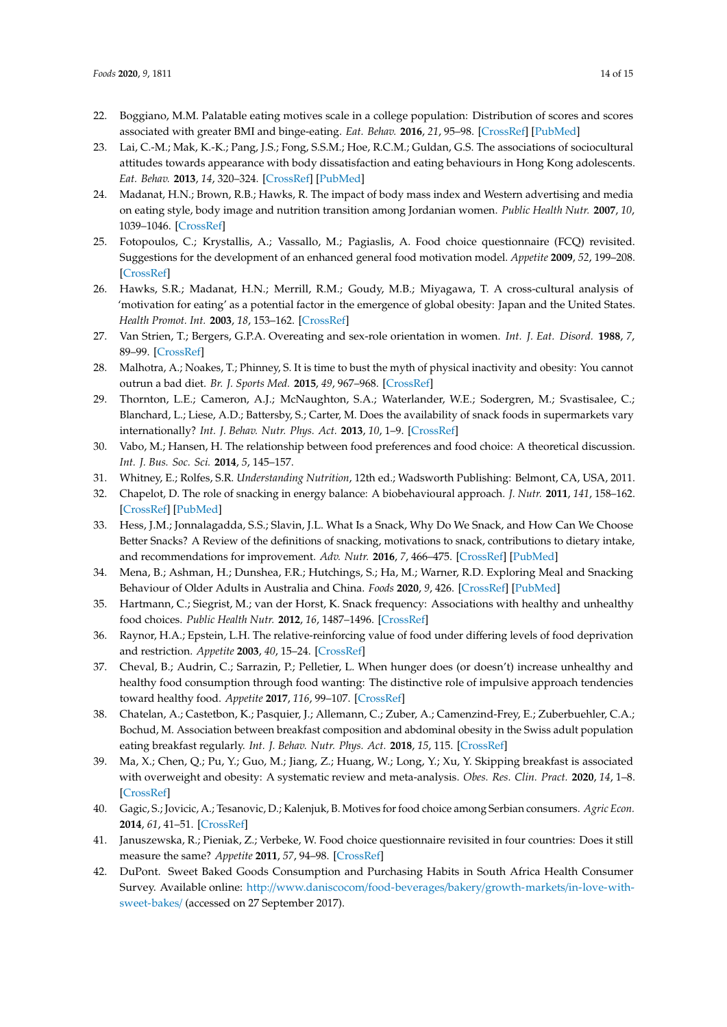- 22. Boggiano, M.M. Palatable eating motives scale in a college population: Distribution of scores and scores associated with greater BMI and binge-eating. *Eat. Behav.* **2016**, *21*, 95–98. [\[CrossRef\]](http://dx.doi.org/10.1016/j.eatbeh.2016.01.001) [\[PubMed\]](http://www.ncbi.nlm.nih.gov/pubmed/26826648)
- 23. Lai, C.-M.; Mak, K.-K.; Pang, J.S.; Fong, S.S.M.; Hoe, R.C.M.; Guldan, G.S. The associations of sociocultural attitudes towards appearance with body dissatisfaction and eating behaviours in Hong Kong adolescents. *Eat. Behav.* **2013**, *14*, 320–324. [\[CrossRef\]](http://dx.doi.org/10.1016/j.eatbeh.2013.05.004) [\[PubMed\]](http://www.ncbi.nlm.nih.gov/pubmed/23910774)
- 24. Madanat, H.N.; Brown, R.B.; Hawks, R. The impact of body mass index and Western advertising and media on eating style, body image and nutrition transition among Jordanian women. *Public Health Nutr.* **2007**, *10*, 1039–1046. [\[CrossRef\]](http://dx.doi.org/10.1017/S1368980007666713)
- 25. Fotopoulos, C.; Krystallis, A.; Vassallo, M.; Pagiaslis, A. Food choice questionnaire (FCQ) revisited. Suggestions for the development of an enhanced general food motivation model. *Appetite* **2009**, *52*, 199–208. [\[CrossRef\]](http://dx.doi.org/10.1016/j.appet.2008.09.014)
- 26. Hawks, S.R.; Madanat, H.N.; Merrill, R.M.; Goudy, M.B.; Miyagawa, T. A cross-cultural analysis of 'motivation for eating' as a potential factor in the emergence of global obesity: Japan and the United States. *Health Promot. Int.* **2003**, *18*, 153–162. [\[CrossRef\]](http://dx.doi.org/10.1093/heapro/18.2.153)
- 27. Van Strien, T.; Bergers, G.P.A. Overeating and sex-role orientation in women. *Int. J. Eat. Disord.* **1988**, *7*, 89–99. [\[CrossRef\]](http://dx.doi.org/10.1002/1098-108X(198801)7:1<89::AID-EAT2260070109>3.0.CO;2-0)
- 28. Malhotra, A.; Noakes, T.; Phinney, S. It is time to bust the myth of physical inactivity and obesity: You cannot outrun a bad diet. *Br. J. Sports Med.* **2015**, *49*, 967–968. [\[CrossRef\]](http://dx.doi.org/10.1136/bjsports-2015-094911)
- 29. Thornton, L.E.; Cameron, A.J.; McNaughton, S.A.; Waterlander, W.E.; Sodergren, M.; Svastisalee, C.; Blanchard, L.; Liese, A.D.; Battersby, S.; Carter, M. Does the availability of snack foods in supermarkets vary internationally? *Int. J. Behav. Nutr. Phys. Act.* **2013**, *10*, 1–9. [\[CrossRef\]](http://dx.doi.org/10.1186/1479-5868-10-56)
- 30. Vabo, M.; Hansen, H. The relationship between food preferences and food choice: A theoretical discussion. *Int. J. Bus. Soc. Sci.* **2014**, *5*, 145–157.
- 31. Whitney, E.; Rolfes, S.R. *Understanding Nutrition*, 12th ed.; Wadsworth Publishing: Belmont, CA, USA, 2011.
- 32. Chapelot, D. The role of snacking in energy balance: A biobehavioural approach. *J. Nutr.* **2011**, *141*, 158–162. [\[CrossRef\]](http://dx.doi.org/10.3945/jn.109.114330) [\[PubMed\]](http://www.ncbi.nlm.nih.gov/pubmed/21123465)
- 33. Hess, J.M.; Jonnalagadda, S.S.; Slavin, J.L. What Is a Snack, Why Do We Snack, and How Can We Choose Better Snacks? A Review of the definitions of snacking, motivations to snack, contributions to dietary intake, and recommendations for improvement. *Adv. Nutr.* **2016**, *7*, 466–475. [\[CrossRef\]](http://dx.doi.org/10.3945/an.115.009571) [\[PubMed\]](http://www.ncbi.nlm.nih.gov/pubmed/27184274)
- 34. Mena, B.; Ashman, H.; Dunshea, F.R.; Hutchings, S.; Ha, M.; Warner, R.D. Exploring Meal and Snacking Behaviour of Older Adults in Australia and China. *Foods* **2020**, *9*, 426. [\[CrossRef\]](http://dx.doi.org/10.3390/foods9040426) [\[PubMed\]](http://www.ncbi.nlm.nih.gov/pubmed/32260194)
- 35. Hartmann, C.; Siegrist, M.; van der Horst, K. Snack frequency: Associations with healthy and unhealthy food choices. *Public Health Nutr.* **2012**, *16*, 1487–1496. [\[CrossRef\]](http://dx.doi.org/10.1017/S1368980012003771)
- 36. Raynor, H.A.; Epstein, L.H. The relative-reinforcing value of food under differing levels of food deprivation and restriction. *Appetite* **2003**, *40*, 15–24. [\[CrossRef\]](http://dx.doi.org/10.1016/S0195-6663(02)00161-7)
- 37. Cheval, B.; Audrin, C.; Sarrazin, P.; Pelletier, L. When hunger does (or doesn't) increase unhealthy and healthy food consumption through food wanting: The distinctive role of impulsive approach tendencies toward healthy food. *Appetite* **2017**, *116*, 99–107. [\[CrossRef\]](http://dx.doi.org/10.1016/j.appet.2017.04.028)
- 38. Chatelan, A.; Castetbon, K.; Pasquier, J.; Allemann, C.; Zuber, A.; Camenzind-Frey, E.; Zuberbuehler, C.A.; Bochud, M. Association between breakfast composition and abdominal obesity in the Swiss adult population eating breakfast regularly. *Int. J. Behav. Nutr. Phys. Act.* **2018**, *15*, 115. [\[CrossRef\]](http://dx.doi.org/10.1186/s12966-018-0752-7)
- 39. Ma, X.; Chen, Q.; Pu, Y.; Guo, M.; Jiang, Z.; Huang, W.; Long, Y.; Xu, Y. Skipping breakfast is associated with overweight and obesity: A systematic review and meta-analysis. *Obes. Res. Clin. Pract.* **2020**, *14*, 1–8. [\[CrossRef\]](http://dx.doi.org/10.1016/j.orcp.2019.12.002)
- 40. Gagic, S.; Jovicic, A.; Tesanovic, D.; Kalenjuk, B. Motives for food choice among Serbian consumers. *Agric Econ.* **2014**, *61*, 41–51. [\[CrossRef\]](http://dx.doi.org/10.5937/ekoPolj1401041G)
- 41. Januszewska, R.; Pieniak, Z.; Verbeke, W. Food choice questionnaire revisited in four countries: Does it still measure the same? *Appetite* **2011**, *57*, 94–98. [\[CrossRef\]](http://dx.doi.org/10.1016/j.appet.2011.03.014)
- 42. DuPont. Sweet Baked Goods Consumption and Purchasing Habits in South Africa Health Consumer Survey. Available online: http://[www.daniscocom](http://www.daniscocom/food-beverages/bakery/growth-markets/in-love-with-sweet-bakes/)/food-beverages/bakery/growth-markets/in-love-with[sweet-bakes](http://www.daniscocom/food-beverages/bakery/growth-markets/in-love-with-sweet-bakes/)/ (accessed on 27 September 2017).